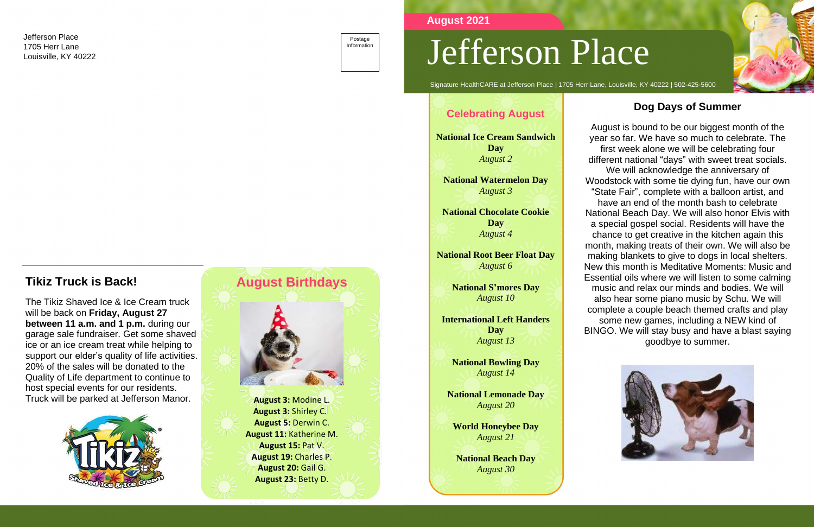Signature HealthCARE at Jefferson Place | 1705 Herr Lane, Louisville, KY 40222 | 502-425-5600

#### **Dog Days of Summer**

August is bound to be our biggest month of the year so far. We have so much to celebrate. The first week alone we will be celebrating four different national "days" with sweet treat socials.

We will acknowledge the anniversary of Woodstock with some tie dying fun, have our own "State Fair", complete with a balloon artist, and have an end of the month bash to celebrate National Beach Day. We will also honor Elvis with a special gospel social. Residents will have the chance to get creative in the kitchen again this month, making treats of their own. We will also be making blankets to give to dogs in local shelters. New this month is Meditative Moments: Music and Essential oils where we will listen to some calming music and relax our minds and bodies. We will also hear some piano music by Schu. We will complete a couple beach themed crafts and play some new games, including a NEW kind of BINGO. We will stay busy and have a blast saying goodbye to summer.



# **Tikiz Truck is Back!**

The Tikiz Shaved Ice & Ice Cream truck will be back on **Friday, August 27 between 11 a.m. and 1 p.m.** during our garage sale fundraiser. Get some shaved ice or an ice cream treat while helping to support our elder's quality of life activities. 20% of the sales will be donated to the Quality of Life department to continue to host special events for our residents. Truck will be parked at Jefferson Manor.





 **August 3:** Shirley C. **August 5:** Derwin C. **August 11:** Katherine M. **August 15:** Pat V. **August 19:** Charles P. **August 20:** Gail G. **August 23:** Betty D.





**August 2021**

### **Celebrating August**

**National Ice Cream Sandwich Day** *August 2*

**National Watermelon Day** *August 3*

**National Chocolate Cookie Day** *August 4*

**National Root Beer Float Day** *August 6*

> **National S'mores Day** *August 10*

**International Left Handers Day** *August 13*

**National Bowling Day** *August 14*

**National Lemonade Day** *August 20*

**World Honeybee Day** *August 21*

**National Beach Day** *August 30*

Jefferson Place 1705 Herr Lane Louisville, KY 40222

Postage Information

# Jefferson Place